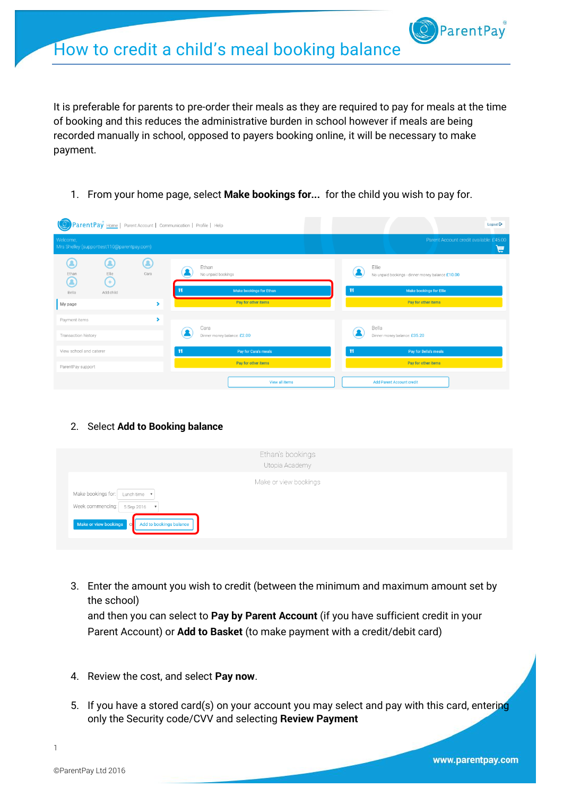It is preferable for parents to pre-order their meals as they are required to pay for meals at the time of booking and this reduces the administrative burden in school however if meals are being recorded manually in school, opposed to payers booking online, it will be necessary to make payment.

1. From your home page, select **Make bookings for...** for the child you wish to pay for.

| ParentPay Home   Parent Account   Communication   Profile   Help<br>(Q |                                     | Logout <sup>C+</sup>                                      |  |
|------------------------------------------------------------------------|-------------------------------------|-----------------------------------------------------------|--|
| Welcome,<br>Mrs Shelley (supporttest110@parentpay.com)                 |                                     | Parent Account credit available: £45.00<br>₩              |  |
| Q<br>Ξ<br>Q<br>Cara<br>Ellie<br>Ethan<br>G<br>$(+)$                    | Ethan<br>No unpaid bookings         | Ellie<br>No unpaid bookings - dinner money balance £10.00 |  |
| Add child<br>Bella                                                     | <b>Make bookings for Ethan</b>      | Ħ<br><b>Make bookings for Ellie</b>                       |  |
| My page<br>×.                                                          | Pay for other items                 | Pay for other items                                       |  |
| ,<br>Payment items                                                     |                                     |                                                           |  |
| Transaction history                                                    | Cara<br>Dinner money balance: £2.00 | Bella<br>Dinner money balance: £35.20                     |  |
| View school and caterer                                                | Ħ<br>Pay for Cara's meals           | Ħ<br>Pay for Bella's meals                                |  |
| ParentPay support                                                      | Pay for other items                 | Pay for other items                                       |  |
|                                                                        | View all items                      | <b>Add Parent Account credit</b>                          |  |

2. Select **Add to Booking balance**

|                                                                                                                                         | Ethan's bookings<br>Utopia Academy |  |
|-----------------------------------------------------------------------------------------------------------------------------------------|------------------------------------|--|
| Make bookings for: Lunch time v<br>Week commencing: 5 Sep 2016 $\bullet$<br>Add to bookings balance<br>Make or view bookings<br>$\circ$ | Make or view bookings              |  |

3. Enter the amount you wish to credit (between the minimum and maximum amount set by the school)

and then you can select to **Pay by Parent Account** (if you have sufficient credit in your Parent Account) or **Add to Basket** (to make payment with a credit/debit card)

- 4. Review the cost, and select **Pay now**.
- 5. If you have a stored card(s) on your account you may select and pay with this card, entering only the Security code/CVV and selecting **Review Payment**

1